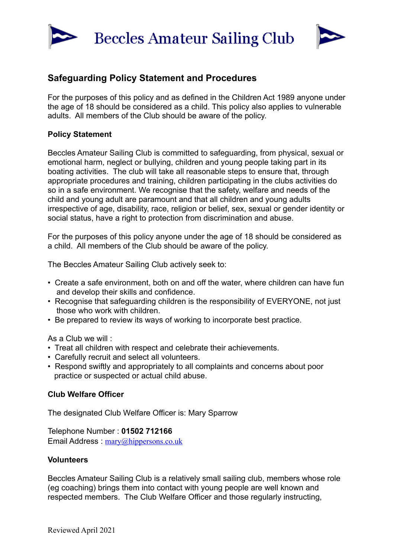



# **Safeguarding Policy Statement and Procedures**

For the purposes of this policy and as defined in the Children Act 1989 anyone under the age of 18 should be considered as a child. This policy also applies to vulnerable adults. All members of the Club should be aware of the policy.

## **Policy Statement**

Beccles Amateur Sailing Club is committed to safeguarding, from physical, sexual or emotional harm, neglect or bullying, children and young people taking part in its boating activities. The club will take all reasonable steps to ensure that, through appropriate procedures and training, children participating in the clubs activities do so in a safe environment. We recognise that the safety, welfare and needs of the child and young adult are paramount and that all children and young adults irrespective of age, disability, race, religion or belief, sex, sexual or gender identity or social status, have a right to protection from discrimination and abuse.

For the purposes of this policy anyone under the age of 18 should be considered as a child. All members of the Club should be aware of the policy.

The Beccles Amateur Sailing Club actively seek to:

- Create a safe environment, both on and off the water, where children can have fun and develop their skills and confidence.
- Recognise that safeguarding children is the responsibility of EVERYONE, not just those who work with children.
- Be prepared to review its ways of working to incorporate best practice.

As a Club we will :

- Treat all children with respect and celebrate their achievements.
- Carefully recruit and select all volunteers.
- Respond swiftly and appropriately to all complaints and concerns about poor practice or suspected or actual child abuse.

### **Club Welfare Officer**

The designated Club Welfare Officer is: Mary Sparrow

Telephone Number : **01502 712166** Email Address : [mary@hippersons.co.uk](mailto:mary@hippersons.co.uk)

### **Volunteers**

Beccles Amateur Sailing Club is a relatively small sailing club, members whose role (eg coaching) brings them into contact with young people are well known and respected members. The Club Welfare Officer and those regularly instructing,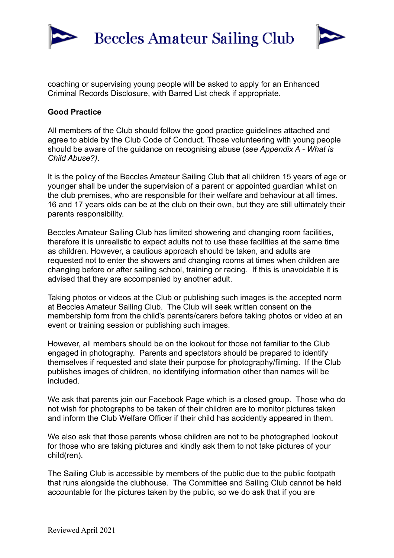



coaching or supervising young people will be asked to apply for an Enhanced Criminal Records Disclosure, with Barred List check if appropriate.

### **Good Practice**

All members of the Club should follow the good practice guidelines attached and agree to abide by the Club Code of Conduct. Those volunteering with young people should be aware of the guidance on recognising abuse (*see Appendix A - What is Child Abuse?)*.

It is the policy of the Beccles Amateur Sailing Club that all children 15 years of age or younger shall be under the supervision of a parent or appointed guardian whilst on the club premises, who are responsible for their welfare and behaviour at all times. 16 and 17 years olds can be at the club on their own, but they are still ultimately their parents responsibility.

Beccles Amateur Sailing Club has limited showering and changing room facilities, therefore it is unrealistic to expect adults not to use these facilities at the same time as children. However, a cautious approach should be taken, and adults are requested not to enter the showers and changing rooms at times when children are changing before or after sailing school, training or racing. If this is unavoidable it is advised that they are accompanied by another adult.

Taking photos or videos at the Club or publishing such images is the accepted norm at Beccles Amateur Sailing Club. The Club will seek written consent on the membership form from the child's parents/carers before taking photos or video at an event or training session or publishing such images.

However, all members should be on the lookout for those not familiar to the Club engaged in photography. Parents and spectators should be prepared to identify themselves if requested and state their purpose for photography/filming. If the Club publishes images of children, no identifying information other than names will be included.

We ask that parents join our Facebook Page which is a closed group. Those who do not wish for photographs to be taken of their children are to monitor pictures taken and inform the Club Welfare Officer if their child has accidently appeared in them.

We also ask that those parents whose children are not to be photographed lookout for those who are taking pictures and kindly ask them to not take pictures of your child(ren).

The Sailing Club is accessible by members of the public due to the public footpath that runs alongside the clubhouse. The Committee and Sailing Club cannot be held accountable for the pictures taken by the public, so we do ask that if you are